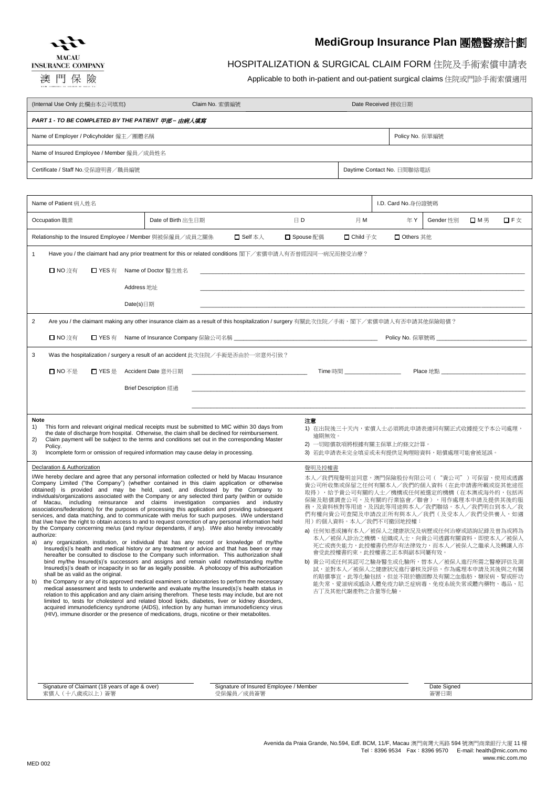



澳門保險

## **MediGroup Insurance Plan** 團體醫療計劃

## HOSPITALIZATION & SURGICAL CLAIM FORM 住院及手術索償申請表

Applicable to both in-patient and out-patient surgical claims 住院或門診手術索償適用

| (Internal Use Only 此欄由本公司填寫)                                                                                                                                                                                                                                                                                                                                                                                                                                                                                                                                                                                                                                                                                                                                                                                                                                                                                                                                                                                                                                                                                                                                                                                                                                                                                                                                                                                                                                                                                                                                                                                                                                                                                                                                                                                                                                                                                                                                                                                                                                                                                                                                                                                                                                                                                                                                                                                                                                                                                                                                                                                                                                                                                                                                                                                             | Claim No. 索償編號                                                                                                                                                                                                                                                                                                                                                                         |               |                                                                                                               | Date Received 接收日期  |                               |     |     |
|--------------------------------------------------------------------------------------------------------------------------------------------------------------------------------------------------------------------------------------------------------------------------------------------------------------------------------------------------------------------------------------------------------------------------------------------------------------------------------------------------------------------------------------------------------------------------------------------------------------------------------------------------------------------------------------------------------------------------------------------------------------------------------------------------------------------------------------------------------------------------------------------------------------------------------------------------------------------------------------------------------------------------------------------------------------------------------------------------------------------------------------------------------------------------------------------------------------------------------------------------------------------------------------------------------------------------------------------------------------------------------------------------------------------------------------------------------------------------------------------------------------------------------------------------------------------------------------------------------------------------------------------------------------------------------------------------------------------------------------------------------------------------------------------------------------------------------------------------------------------------------------------------------------------------------------------------------------------------------------------------------------------------------------------------------------------------------------------------------------------------------------------------------------------------------------------------------------------------------------------------------------------------------------------------------------------------------------------------------------------------------------------------------------------------------------------------------------------------------------------------------------------------------------------------------------------------------------------------------------------------------------------------------------------------------------------------------------------------------------------------------------------------------------------------------------------------|----------------------------------------------------------------------------------------------------------------------------------------------------------------------------------------------------------------------------------------------------------------------------------------------------------------------------------------------------------------------------------------|---------------|---------------------------------------------------------------------------------------------------------------|---------------------|-------------------------------|-----|-----|
| PART 1 - TO BE COMPLETED BY THE PATIENT 甲部-由病人填寫                                                                                                                                                                                                                                                                                                                                                                                                                                                                                                                                                                                                                                                                                                                                                                                                                                                                                                                                                                                                                                                                                                                                                                                                                                                                                                                                                                                                                                                                                                                                                                                                                                                                                                                                                                                                                                                                                                                                                                                                                                                                                                                                                                                                                                                                                                                                                                                                                                                                                                                                                                                                                                                                                                                                                                         |                                                                                                                                                                                                                                                                                                                                                                                        |               |                                                                                                               |                     |                               |     |     |
| Name of Employer / Policyholder 僱主/團體名稱                                                                                                                                                                                                                                                                                                                                                                                                                                                                                                                                                                                                                                                                                                                                                                                                                                                                                                                                                                                                                                                                                                                                                                                                                                                                                                                                                                                                                                                                                                                                                                                                                                                                                                                                                                                                                                                                                                                                                                                                                                                                                                                                                                                                                                                                                                                                                                                                                                                                                                                                                                                                                                                                                                                                                                                  |                                                                                                                                                                                                                                                                                                                                                                                        |               |                                                                                                               |                     | Policy No. 保單編號               |     |     |
|                                                                                                                                                                                                                                                                                                                                                                                                                                                                                                                                                                                                                                                                                                                                                                                                                                                                                                                                                                                                                                                                                                                                                                                                                                                                                                                                                                                                                                                                                                                                                                                                                                                                                                                                                                                                                                                                                                                                                                                                                                                                                                                                                                                                                                                                                                                                                                                                                                                                                                                                                                                                                                                                                                                                                                                                                          | Name of Insured Employee / Member 僱員/成員姓名                                                                                                                                                                                                                                                                                                                                              |               |                                                                                                               |                     |                               |     |     |
| Certificate / Staff No.受保證明書/職員編號<br>Daytime Contact No. 日間聯絡電話                                                                                                                                                                                                                                                                                                                                                                                                                                                                                                                                                                                                                                                                                                                                                                                                                                                                                                                                                                                                                                                                                                                                                                                                                                                                                                                                                                                                                                                                                                                                                                                                                                                                                                                                                                                                                                                                                                                                                                                                                                                                                                                                                                                                                                                                                                                                                                                                                                                                                                                                                                                                                                                                                                                                                          |                                                                                                                                                                                                                                                                                                                                                                                        |               |                                                                                                               |                     |                               |     |     |
|                                                                                                                                                                                                                                                                                                                                                                                                                                                                                                                                                                                                                                                                                                                                                                                                                                                                                                                                                                                                                                                                                                                                                                                                                                                                                                                                                                                                                                                                                                                                                                                                                                                                                                                                                                                                                                                                                                                                                                                                                                                                                                                                                                                                                                                                                                                                                                                                                                                                                                                                                                                                                                                                                                                                                                                                                          |                                                                                                                                                                                                                                                                                                                                                                                        |               |                                                                                                               |                     |                               |     |     |
| Name of Patient 病人姓名                                                                                                                                                                                                                                                                                                                                                                                                                                                                                                                                                                                                                                                                                                                                                                                                                                                                                                                                                                                                                                                                                                                                                                                                                                                                                                                                                                                                                                                                                                                                                                                                                                                                                                                                                                                                                                                                                                                                                                                                                                                                                                                                                                                                                                                                                                                                                                                                                                                                                                                                                                                                                                                                                                                                                                                                     |                                                                                                                                                                                                                                                                                                                                                                                        |               |                                                                                                               | I.D. Card No. 身份證號碼 |                               |     |     |
| Occupation 職業                                                                                                                                                                                                                                                                                                                                                                                                                                                                                                                                                                                                                                                                                                                                                                                                                                                                                                                                                                                                                                                                                                                                                                                                                                                                                                                                                                                                                                                                                                                                                                                                                                                                                                                                                                                                                                                                                                                                                                                                                                                                                                                                                                                                                                                                                                                                                                                                                                                                                                                                                                                                                                                                                                                                                                                                            | Date of Birth 出生日期                                                                                                                                                                                                                                                                                                                                                                     | $\boxminus$ D | 月M                                                                                                            | 年Y                  | Gender 性別                     | □M男 | 口F女 |
| Relationship to the Insured Employee / Member 與被保僱員/成員之關係<br>$\square$ Self $\overline{\wedge}\wedge$<br>□ Spouse 配偶<br>□ Child 子女<br>□ Others 其他                                                                                                                                                                                                                                                                                                                                                                                                                                                                                                                                                                                                                                                                                                                                                                                                                                                                                                                                                                                                                                                                                                                                                                                                                                                                                                                                                                                                                                                                                                                                                                                                                                                                                                                                                                                                                                                                                                                                                                                                                                                                                                                                                                                                                                                                                                                                                                                                                                                                                                                                                                                                                                                                        |                                                                                                                                                                                                                                                                                                                                                                                        |               |                                                                                                               |                     |                               |     |     |
| $\mathbf{1}$                                                                                                                                                                                                                                                                                                                                                                                                                                                                                                                                                                                                                                                                                                                                                                                                                                                                                                                                                                                                                                                                                                                                                                                                                                                                                                                                                                                                                                                                                                                                                                                                                                                                                                                                                                                                                                                                                                                                                                                                                                                                                                                                                                                                                                                                                                                                                                                                                                                                                                                                                                                                                                                                                                                                                                                                             | Have you / the claimant had any prior treatment for this or related conditions 閣下/索償申請人有否曾經因同一病況而接受治療?                                                                                                                                                                                                                                                                                 |               |                                                                                                               |                     |                               |     |     |
| □ NO 沒有<br>$\Box$ YES $\overline{a}$                                                                                                                                                                                                                                                                                                                                                                                                                                                                                                                                                                                                                                                                                                                                                                                                                                                                                                                                                                                                                                                                                                                                                                                                                                                                                                                                                                                                                                                                                                                                                                                                                                                                                                                                                                                                                                                                                                                                                                                                                                                                                                                                                                                                                                                                                                                                                                                                                                                                                                                                                                                                                                                                                                                                                                                     | Name of Doctor 醫生姓名                                                                                                                                                                                                                                                                                                                                                                    |               |                                                                                                               |                     |                               |     |     |
| Address 地址                                                                                                                                                                                                                                                                                                                                                                                                                                                                                                                                                                                                                                                                                                                                                                                                                                                                                                                                                                                                                                                                                                                                                                                                                                                                                                                                                                                                                                                                                                                                                                                                                                                                                                                                                                                                                                                                                                                                                                                                                                                                                                                                                                                                                                                                                                                                                                                                                                                                                                                                                                                                                                                                                                                                                                                                               |                                                                                                                                                                                                                                                                                                                                                                                        |               |                                                                                                               |                     |                               |     |     |
| Date(s)日期                                                                                                                                                                                                                                                                                                                                                                                                                                                                                                                                                                                                                                                                                                                                                                                                                                                                                                                                                                                                                                                                                                                                                                                                                                                                                                                                                                                                                                                                                                                                                                                                                                                                                                                                                                                                                                                                                                                                                                                                                                                                                                                                                                                                                                                                                                                                                                                                                                                                                                                                                                                                                                                                                                                                                                                                                |                                                                                                                                                                                                                                                                                                                                                                                        |               |                                                                                                               |                     |                               |     |     |
| $\overline{2}$                                                                                                                                                                                                                                                                                                                                                                                                                                                                                                                                                                                                                                                                                                                                                                                                                                                                                                                                                                                                                                                                                                                                                                                                                                                                                                                                                                                                                                                                                                                                                                                                                                                                                                                                                                                                                                                                                                                                                                                                                                                                                                                                                                                                                                                                                                                                                                                                                                                                                                                                                                                                                                                                                                                                                                                                           | Are you / the claimant making any other insurance claim as a result of this hospitalization / surgery 有關此次住院/手術,閣下/索償申請人有否申請其他保險賠償?                                                                                                                                                                                                                                                    |               |                                                                                                               |                     |                               |     |     |
| □ NO 沒有                                                                                                                                                                                                                                                                                                                                                                                                                                                                                                                                                                                                                                                                                                                                                                                                                                                                                                                                                                                                                                                                                                                                                                                                                                                                                                                                                                                                                                                                                                                                                                                                                                                                                                                                                                                                                                                                                                                                                                                                                                                                                                                                                                                                                                                                                                                                                                                                                                                                                                                                                                                                                                                                                                                                                                                                                  |                                                                                                                                                                                                                                                                                                                                                                                        |               |                                                                                                               |                     | Policy No. 保單號碼 _____________ |     |     |
| 3                                                                                                                                                                                                                                                                                                                                                                                                                                                                                                                                                                                                                                                                                                                                                                                                                                                                                                                                                                                                                                                                                                                                                                                                                                                                                                                                                                                                                                                                                                                                                                                                                                                                                                                                                                                                                                                                                                                                                                                                                                                                                                                                                                                                                                                                                                                                                                                                                                                                                                                                                                                                                                                                                                                                                                                                                        | Was the hospitalization / surgery a result of an accident 此次住院/手術是否由於一宗意外引致?                                                                                                                                                                                                                                                                                                           |               |                                                                                                               |                     |                               |     |     |
| □ NO 不是<br>口 YES 是                                                                                                                                                                                                                                                                                                                                                                                                                                                                                                                                                                                                                                                                                                                                                                                                                                                                                                                                                                                                                                                                                                                                                                                                                                                                                                                                                                                                                                                                                                                                                                                                                                                                                                                                                                                                                                                                                                                                                                                                                                                                                                                                                                                                                                                                                                                                                                                                                                                                                                                                                                                                                                                                                                                                                                                                       | Accident Date 意外日期                                                                                                                                                                                                                                                                                                                                                                     |               | <b>Time</b> 時間 しんしんしゃくんしゃ                                                                                     |                     |                               |     |     |
|                                                                                                                                                                                                                                                                                                                                                                                                                                                                                                                                                                                                                                                                                                                                                                                                                                                                                                                                                                                                                                                                                                                                                                                                                                                                                                                                                                                                                                                                                                                                                                                                                                                                                                                                                                                                                                                                                                                                                                                                                                                                                                                                                                                                                                                                                                                                                                                                                                                                                                                                                                                                                                                                                                                                                                                                                          | <b>Brief Description</b> 經過                                                                                                                                                                                                                                                                                                                                                            |               |                                                                                                               |                     |                               |     |     |
|                                                                                                                                                                                                                                                                                                                                                                                                                                                                                                                                                                                                                                                                                                                                                                                                                                                                                                                                                                                                                                                                                                                                                                                                                                                                                                                                                                                                                                                                                                                                                                                                                                                                                                                                                                                                                                                                                                                                                                                                                                                                                                                                                                                                                                                                                                                                                                                                                                                                                                                                                                                                                                                                                                                                                                                                                          |                                                                                                                                                                                                                                                                                                                                                                                        |               |                                                                                                               |                     |                               |     |     |
| Note<br>1)<br>2)<br>Policy.<br>3)                                                                                                                                                                                                                                                                                                                                                                                                                                                                                                                                                                                                                                                                                                                                                                                                                                                                                                                                                                                                                                                                                                                                                                                                                                                                                                                                                                                                                                                                                                                                                                                                                                                                                                                                                                                                                                                                                                                                                                                                                                                                                                                                                                                                                                                                                                                                                                                                                                                                                                                                                                                                                                                                                                                                                                                        | This form and relevant original medical receipts must be submitted to MIC within 30 days from<br>the date of discharge from hospital. Otherwise, the claim shall be declined for reimbursement.<br>Claim payment will be subject to the terms and conditions set out in the corresponding Master<br>Incomplete form or omission of required information may cause delay in processing. | 注意<br>谕期無效。   | 1) 在出院後三十天內, 索償人士必須將此申請表連同有關正式收據提交予本公司處理,<br>2) 一切賠償款項將根據有關主保單上的條文計算。<br>3) 若此申請表未完全填妥或未有提供足夠理賠資料,賠償處理可能會被延誤。 |                     |                               |     |     |
| Declaration & Authorization                                                                                                                                                                                                                                                                                                                                                                                                                                                                                                                                                                                                                                                                                                                                                                                                                                                                                                                                                                                                                                                                                                                                                                                                                                                                                                                                                                                                                                                                                                                                                                                                                                                                                                                                                                                                                                                                                                                                                                                                                                                                                                                                                                                                                                                                                                                                                                                                                                                                                                                                                                                                                                                                                                                                                                                              |                                                                                                                                                                                                                                                                                                                                                                                        |               |                                                                                                               |                     |                               |     |     |
| 聲明及授權書<br>I/We hereby declare and agree that any personal information collected or held by Macau Insurance<br>本人/我們現聲明並同意,澳門保險股份有限公司( "貴公司" )可保留、使用或透露<br>Company Limited ("the Company") (whether contained in this claim application or otherwise<br>貴公司所收集或保留之任何有關本人/我們的個人資料(在此申請書所載或從其他途徑<br>obtained) is provided and may be held, used, and disclosed by the Company to<br>取得),給予貴公司有關的人士/機構或任何被選定的機構(在本澳或海外的,包括再<br>individuals/organizations associated with the Company or any selected third party (within or outside<br>保險及賠償調查公司,及有關的行業協會/聯會),用作處理本申請及提供其後的服<br>of Macau, including reinsurance and claims investigation companies and industry<br>務,及資料核對等用途,及因此等用途與本人/我們聯絡。本人/我們明白到本人/我<br>associations/federations) for the purposes of processing this application and providing subsequent<br>們有權向貴公司查閱及申請改正所有與本人/我們(及受本人/我們受供養人,如適<br>services, and data matching, and to communicate with me/us for such purposes. I/We understand<br>用)的個人資料。本人/我們不可撤回地授權:<br>that I/we have the right to obtain access to and to request correction of any personal information held<br>by the Company concerning me/us (and my/our dependants, if any). I/We also hereby irrevocably<br>a) 任何知悉或擁有本人/被保人之健康狀況及病歷或任何治療或諮詢記錄及曾為或將為<br>authorize:<br>本人/被保人診治之機構、組織或人士,向貴公司透露有關資料。即使本人/被保人<br>a) any organization, institution, or individual that has any record or knowledge of my/the<br>死亡或喪失能力,此授權書仍然存有法律效力,而本人/被保人之繼承人及轉讓人亦<br>Insured(s)'s health and medical history or any treatment or advice and that has been or may<br>會受此授權書約束。此授權書之正本與副本同屬有效。<br>hereafter be consulted to disclose to the Company such information. This authorization shall<br>bind my/the Insured(s)'s successors and assigns and remain valid notwithstanding my/the<br>b) 貴公司或任何其認可之驗身醫生或化驗所,替本人/被保人進行所需之醫療評估及測<br>Insured(s)'s death or incapacity in so far as legally possible. A photocopy of this authorization<br>試,並對本人/被保人之健康狀況進行審核及評估,作為處理本申請及其後與之有關<br>shall be as valid as the original.<br>的賠償事宜。此等化驗包括,但並不限於膽固醇及有關之血脂肪、糖尿病、腎或肝功<br>the Company or any of its approved medical examiners or laboratories to perform the necessary<br>b)<br>能失常、愛滋病或感染人體免疫力缺乏症病毒、免疫系統失常或體內藥物、毒品、尼<br>medical assessment and tests to underwrite and evaluate my/the Insured(s)'s health status in<br>古丁及其他代謝產物之含量等化驗.<br>relation to this application and any claim arising therefrom. These tests may include, but are not<br>limited to, tests for cholesterol and related blood lipids, diabetes, liver or kidney disorders,<br>acquired immunodeficiency syndrome (AIDS), infection by any human immunodeficiency virus<br>(HIV), immune disorder or the presence of medications, drugs, nicotine or their metabolites.<br>Signature of Claimant (18 years of age & over)<br>Signature of Insured Employee / Member<br>Date Signed |                                                                                                                                                                                                                                                                                                                                                                                        |               |                                                                                                               |                     |                               |     |     |
| 索償人(十八歲或以上)簽署                                                                                                                                                                                                                                                                                                                                                                                                                                                                                                                                                                                                                                                                                                                                                                                                                                                                                                                                                                                                                                                                                                                                                                                                                                                                                                                                                                                                                                                                                                                                                                                                                                                                                                                                                                                                                                                                                                                                                                                                                                                                                                                                                                                                                                                                                                                                                                                                                                                                                                                                                                                                                                                                                                                                                                                                            | 受保僱員/成員簽署                                                                                                                                                                                                                                                                                                                                                                              |               |                                                                                                               |                     | 簽署日期                          |     |     |